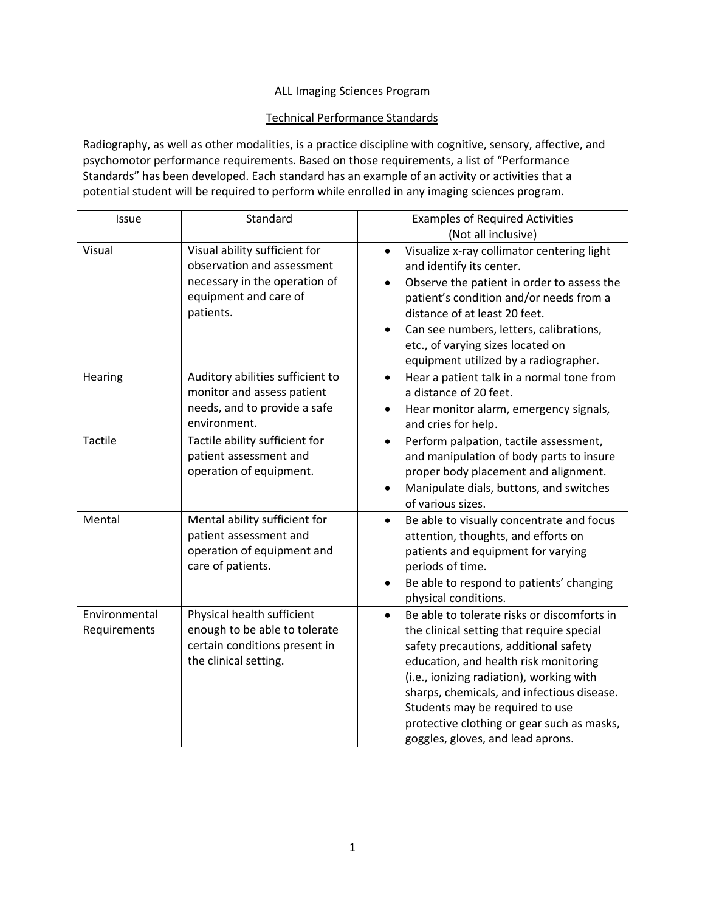## ALL Imaging Sciences Program

## Technical Performance Standards

Radiography, as well as other modalities, is a practice discipline with cognitive, sensory, affective, and psychomotor performance requirements. Based on those requirements, a list of "Performance Standards" has been developed. Each standard has an example of an activity or activities that a potential student will be required to perform while enrolled in any imaging sciences program.

| Issue                         | Standard                                                                                                                           | <b>Examples of Required Activities</b><br>(Not all inclusive)                                                                                                                                                                                                                                                                                                                                           |
|-------------------------------|------------------------------------------------------------------------------------------------------------------------------------|---------------------------------------------------------------------------------------------------------------------------------------------------------------------------------------------------------------------------------------------------------------------------------------------------------------------------------------------------------------------------------------------------------|
| Visual                        | Visual ability sufficient for<br>observation and assessment<br>necessary in the operation of<br>equipment and care of<br>patients. | Visualize x-ray collimator centering light<br>$\bullet$<br>and identify its center.<br>Observe the patient in order to assess the<br>$\bullet$<br>patient's condition and/or needs from a<br>distance of at least 20 feet.<br>Can see numbers, letters, calibrations,<br>$\bullet$<br>etc., of varying sizes located on<br>equipment utilized by a radiographer.                                        |
| Hearing                       | Auditory abilities sufficient to<br>monitor and assess patient<br>needs, and to provide a safe<br>environment.                     | Hear a patient talk in a normal tone from<br>$\bullet$<br>a distance of 20 feet.<br>Hear monitor alarm, emergency signals,<br>٠<br>and cries for help.                                                                                                                                                                                                                                                  |
| <b>Tactile</b>                | Tactile ability sufficient for<br>patient assessment and<br>operation of equipment.                                                | Perform palpation, tactile assessment,<br>$\bullet$<br>and manipulation of body parts to insure<br>proper body placement and alignment.<br>Manipulate dials, buttons, and switches<br>of various sizes.                                                                                                                                                                                                 |
| Mental                        | Mental ability sufficient for<br>patient assessment and<br>operation of equipment and<br>care of patients.                         | Be able to visually concentrate and focus<br>$\bullet$<br>attention, thoughts, and efforts on<br>patients and equipment for varying<br>periods of time.<br>Be able to respond to patients' changing<br>physical conditions.                                                                                                                                                                             |
| Environmental<br>Requirements | Physical health sufficient<br>enough to be able to tolerate<br>certain conditions present in<br>the clinical setting.              | Be able to tolerate risks or discomforts in<br>$\bullet$<br>the clinical setting that require special<br>safety precautions, additional safety<br>education, and health risk monitoring<br>(i.e., ionizing radiation), working with<br>sharps, chemicals, and infectious disease.<br>Students may be required to use<br>protective clothing or gear such as masks,<br>goggles, gloves, and lead aprons. |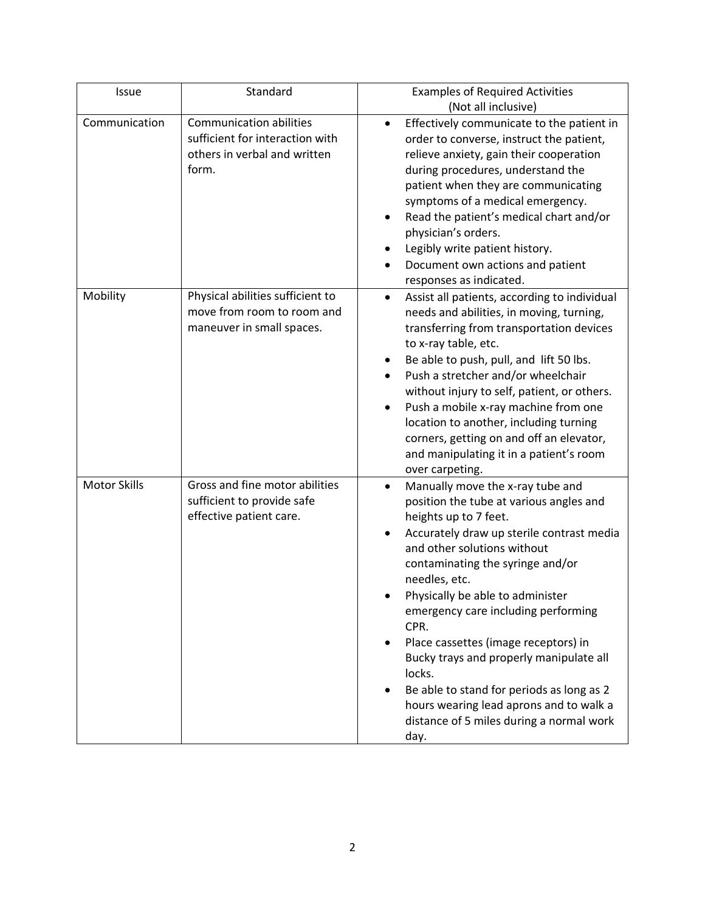| Issue               | Standard                                                                                                   | <b>Examples of Required Activities</b>                                                                                                                                                                                                                                                                                                                                                                                                                                                                                                                                              |
|---------------------|------------------------------------------------------------------------------------------------------------|-------------------------------------------------------------------------------------------------------------------------------------------------------------------------------------------------------------------------------------------------------------------------------------------------------------------------------------------------------------------------------------------------------------------------------------------------------------------------------------------------------------------------------------------------------------------------------------|
|                     |                                                                                                            | (Not all inclusive)                                                                                                                                                                                                                                                                                                                                                                                                                                                                                                                                                                 |
| Communication       | <b>Communication abilities</b><br>sufficient for interaction with<br>others in verbal and written<br>form. | Effectively communicate to the patient in<br>٠<br>order to converse, instruct the patient,<br>relieve anxiety, gain their cooperation<br>during procedures, understand the<br>patient when they are communicating<br>symptoms of a medical emergency.<br>Read the patient's medical chart and/or<br>physician's orders.<br>Legibly write patient history.<br>Document own actions and patient<br>responses as indicated.                                                                                                                                                            |
| Mobility            | Physical abilities sufficient to<br>move from room to room and<br>maneuver in small spaces.                | Assist all patients, according to individual<br>$\bullet$<br>needs and abilities, in moving, turning,<br>transferring from transportation devices<br>to x-ray table, etc.<br>Be able to push, pull, and lift 50 lbs.<br>Push a stretcher and/or wheelchair<br>without injury to self, patient, or others.<br>Push a mobile x-ray machine from one<br>location to another, including turning<br>corners, getting on and off an elevator,<br>and manipulating it in a patient's room<br>over carpeting.                                                                               |
| <b>Motor Skills</b> | Gross and fine motor abilities<br>sufficient to provide safe<br>effective patient care.                    | Manually move the x-ray tube and<br>$\bullet$<br>position the tube at various angles and<br>heights up to 7 feet.<br>Accurately draw up sterile contrast media<br>٠<br>and other solutions without<br>contaminating the syringe and/or<br>needles, etc.<br>Physically be able to administer<br>emergency care including performing<br>CPR.<br>Place cassettes (image receptors) in<br>Bucky trays and properly manipulate all<br>locks.<br>Be able to stand for periods as long as 2<br>hours wearing lead aprons and to walk a<br>distance of 5 miles during a normal work<br>day. |